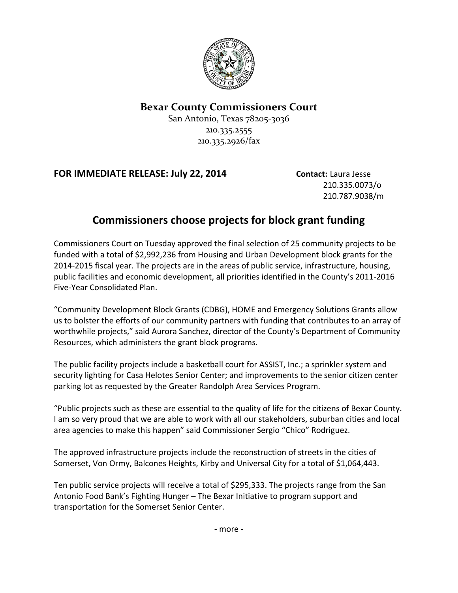

## **Bexar County Commissioners Court**

San Antonio, Texas 78205-3036 210.335.2555 210.335.2926/fax

## **FOR IMMEDIATE RELEASE: July 22, 2014 Contact:** Laura Jesse

210.335.0073/o 210.787.9038/m

## **Commissioners choose projects for block grant funding**

Commissioners Court on Tuesday approved the final selection of 25 community projects to be funded with a total of \$2,992,236 from Housing and Urban Development block grants for the 2014-2015 fiscal year. The projects are in the areas of public service, infrastructure, housing, public facilities and economic development, all priorities identified in the County's 2011-2016 Five-Year Consolidated Plan.

"Community Development Block Grants (CDBG), HOME and Emergency Solutions Grants allow us to bolster the efforts of our community partners with funding that contributes to an array of worthwhile projects," said Aurora Sanchez, director of the County's Department of Community Resources, which administers the grant block programs.

The public facility projects include a basketball court for ASSIST, Inc.; a sprinkler system and security lighting for Casa Helotes Senior Center; and improvements to the senior citizen center parking lot as requested by the Greater Randolph Area Services Program.

"Public projects such as these are essential to the quality of life for the citizens of Bexar County. I am so very proud that we are able to work with all our stakeholders, suburban cities and local area agencies to make this happen" said Commissioner Sergio "Chico" Rodriguez.

The approved infrastructure projects include the reconstruction of streets in the cities of Somerset, Von Ormy, Balcones Heights, Kirby and Universal City for a total of \$1,064,443.

Ten public service projects will receive a total of \$295,333. The projects range from the San Antonio Food Bank's Fighting Hunger – The Bexar Initiative to program support and transportation for the Somerset Senior Center.

- more -